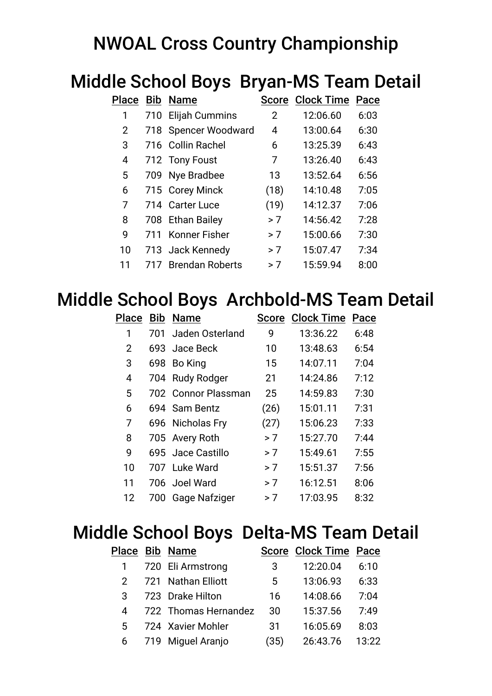## NWOAL Cross Country Championship

## Middle School Boys Bryan-MS Team Detail

| Place | Bib | <b>Name</b>             |      | <b>Score Clock Time</b> | Pace |
|-------|-----|-------------------------|------|-------------------------|------|
| 1     | 710 | <b>Elijah Cummins</b>   | 2    | 12:06.60                | 6:03 |
| 2     | 718 | <b>Spencer Woodward</b> | 4    | 13:00.64                | 6:30 |
| 3     |     | 716 Collin Rachel       | 6    | 13:25.39                | 6:43 |
| 4     |     | 712 Tony Foust          | 7    | 13:26.40                | 6:43 |
| 5     | 709 | Nye Bradbee             | 13   | 13:52.64                | 6:56 |
| 6     |     | 715 Corey Minck         | (18) | 14:10.48                | 7:05 |
| 7     | 714 | <b>Carter Luce</b>      | (19) | 14:12.37                | 7:06 |
| 8     | 708 | <b>Ethan Bailey</b>     | > 7  | 14:56.42                | 7:28 |
| 9     | 711 | Konner Fisher           | > 7  | 15:00.66                | 7:30 |
| 10    |     | 713 Jack Kennedy        | > 7  | 15:07.47                | 7:34 |
| 11    |     | <b>Brendan Roberts</b>  | > 7  | 15:59.94                | 8:00 |

### Middle School Boys Archbold-MS Team Detail

|    |     | Place Bib Name      |      | <b>Score Clock Time Pace</b> |      |
|----|-----|---------------------|------|------------------------------|------|
| 1  | 701 | Jaden Osterland     | 9    | 13:36.22                     | 6:48 |
| 2  |     | 693 Jace Beck       | 10   | 13:48.63                     | 6:54 |
| 3  | 698 | Bo King             | 15   | 14:07.11                     | 7:04 |
| 4  |     | 704 Rudy Rodger     | 21   | 14:24.86                     | 7:12 |
| 5  |     | 702 Connor Plassman | 25   | 14:59.83                     | 7:30 |
| 6  |     | 694 Sam Bentz       | (26) | 15:01.11                     | 7:31 |
| 7  |     | 696 Nicholas Fry    | (27) | 15:06.23                     | 7:33 |
| 8  |     | 705 Avery Roth      | > 7  | 15:27.70                     | 7:44 |
| 9  |     | 695 Jace Castillo   | > 7  | 15:49.61                     | 7:55 |
| 10 |     | 707 Luke Ward       | > 7  | 15:51.37                     | 7:56 |
| 11 |     | 706 Joel Ward       | > 7  | 16:12.51                     | 8:06 |
| 12 | 700 | Gage Nafziger       | > 7  | 17:03.95                     | 8:32 |
|    |     |                     |      |                              |      |

## Middle School Boys Delta-MS Team Detail

|                | Place Bib Name       |      | <b>Score Clock Time Pace</b> |       |
|----------------|----------------------|------|------------------------------|-------|
|                | 720 Eli Armstrong    | 3    | 12:20.04                     | 6:10  |
|                | 721 Nathan Elliott   | 5    | 13:06.93                     | 6:33  |
| 3              | 723 Drake Hilton     | 16   | 14:08.66                     | 7:04  |
| 4              | 722 Thomas Hernandez | 30   | 15:37.56                     | 7:49  |
| 5 <sup>5</sup> | 724 Xavier Mohler    | 31   | 16:05.69                     | 8:03  |
|                | 6 719 Miguel Aranjo  | (35) | 26:43.76                     | 13:22 |